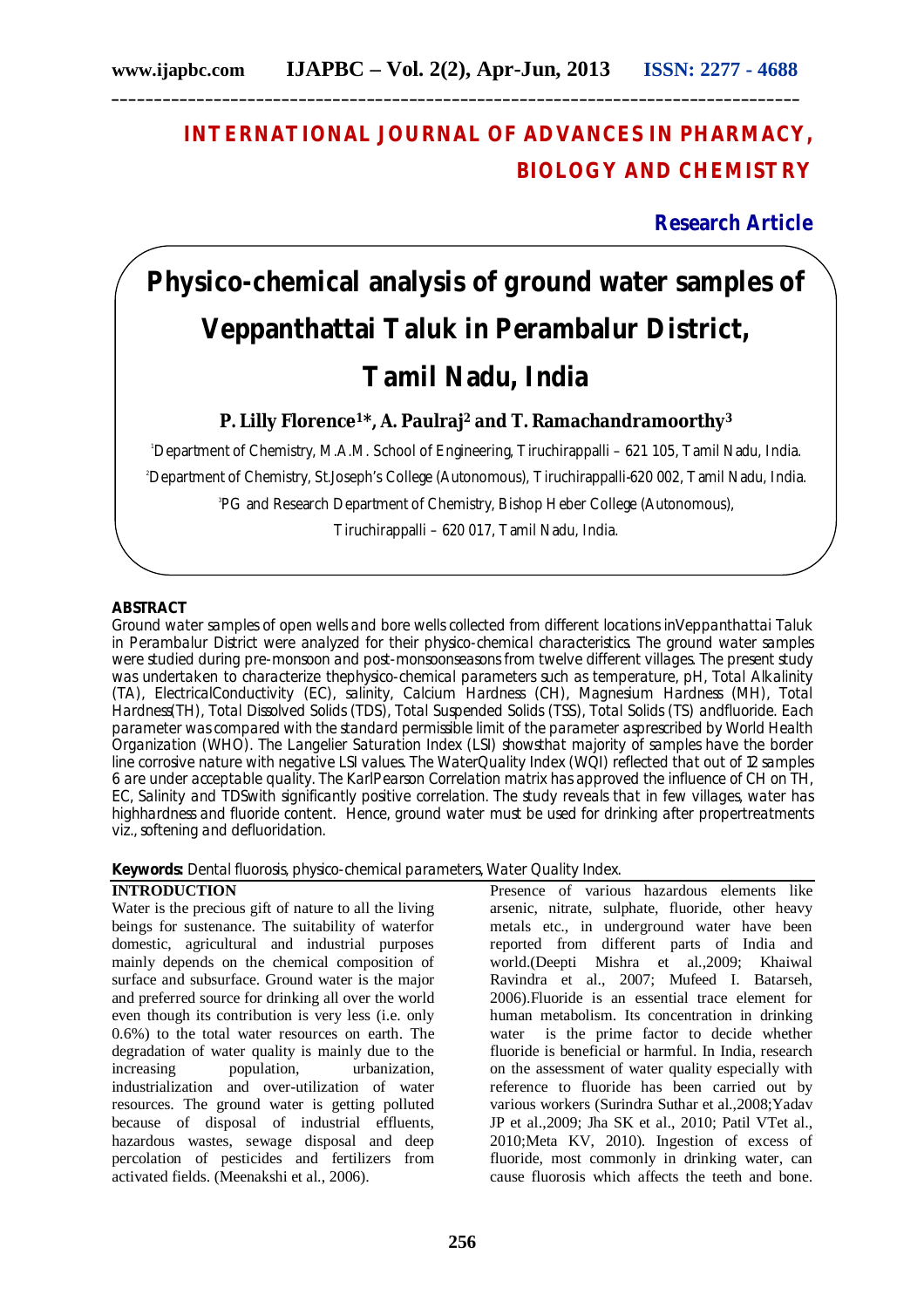## **INTERNATIONAL JOURNAL OF ADVANCES IN PHARMACY, BIOLOGY AND CHEMISTRY**

### **Research Article**

# **Physico-chemical analysis of ground water samples of Veppanthattai Taluk in Perambalur District, Tamil Nadu, India**

**P. Lilly Florence1\*, A. Paulraj<sup>2</sup> and T. Ramachandramoorthy<sup>3</sup>**

<sup>1</sup>Department of Chemistry, M.A.M. School of Engineering, Tiruchirappalli – 621 105, Tamil Nadu, India. <sup>2</sup>Department of Chemistry, St.Joseph's College (Autonomous), Tiruchirappalli-620 002, Tamil Nadu, India. 3 PG and Research Department of Chemistry, Bishop Heber College (Autonomous),

Tiruchirappalli – 620 017, Tamil Nadu, India.

#### **ABSTRACT**

Ground water samples of open wells and bore wells collected from different locations inVeppanthattai Taluk in Perambalur District were analyzed for their physico-chemical characteristics. The ground water samples were studied during pre-monsoon and post-monsoonseasons from twelve different villages. The present study was undertaken to characterize thephysico-chemical parameters such as temperature, pH, Total Alkalinity (TA), ElectricalConductivity (EC), salinity, Calcium Hardness (CH), Magnesium Hardness (MH), Total Hardness(TH), Total Dissolved Solids (TDS), Total Suspended Solids (TSS), Total Solids (TS) andfluoride. Each parameter was compared with the standard permissible limit of the parameter asprescribed by World Health Organization (WHO). The Langelier Saturation Index (LSI) showsthat majority of samples have the border line corrosive nature with negative LSI values. The WaterQuality Index (WQI) reflected that out of 12 samples 6 are under acceptable quality. The KarlPearson Correlation matrix has approved the influence of CH on TH, EC, Salinity and TDSwith significantly positive correlation. The study reveals that in few villages, water has highhardness and fluoride content. Hence, ground water must be used for drinking after propertreatments viz., softening and defluoridation.

**Keywords:** Dental fluorosis, physico-chemical parameters, Water Quality Index.

#### **INTRODUCTION**

Water is the precious gift of nature to all the living beings for sustenance. The suitability of waterfor domestic, agricultural and industrial purposes mainly depends on the chemical composition of surface and subsurface. Ground water is the major and preferred source for drinking all over the world even though its contribution is very less (i.e. only 0.6%) to the total water resources on earth. The degradation of water quality is mainly due to the increasing population, urbanization, industrialization and over-utilization of water resources. The ground water is getting polluted because of disposal of industrial effluents, hazardous wastes, sewage disposal and deep percolation of pesticides and fertilizers from activated fields. (Meenakshi et al., 2006).

Presence of various hazardous elements like arsenic, nitrate, sulphate, fluoride, other heavy metals etc., in underground water have been reported from different parts of India and world.(Deepti Mishra et al.,2009; Khaiwal Ravindra et al., 2007; Mufeed I. Batarseh, 2006).Fluoride is an essential trace element for human metabolism. Its concentration in drinking water is the prime factor to decide whether fluoride is beneficial or harmful. In India, research on the assessment of water quality especially with reference to fluoride has been carried out by various workers (Surindra Suthar et al.,2008;Yadav JP et al.,2009; Jha SK et al., 2010; Patil VTet al., 2010;Meta KV, 2010). Ingestion of excess of fluoride, most commonly in drinking water, can cause fluorosis which affects the teeth and bone.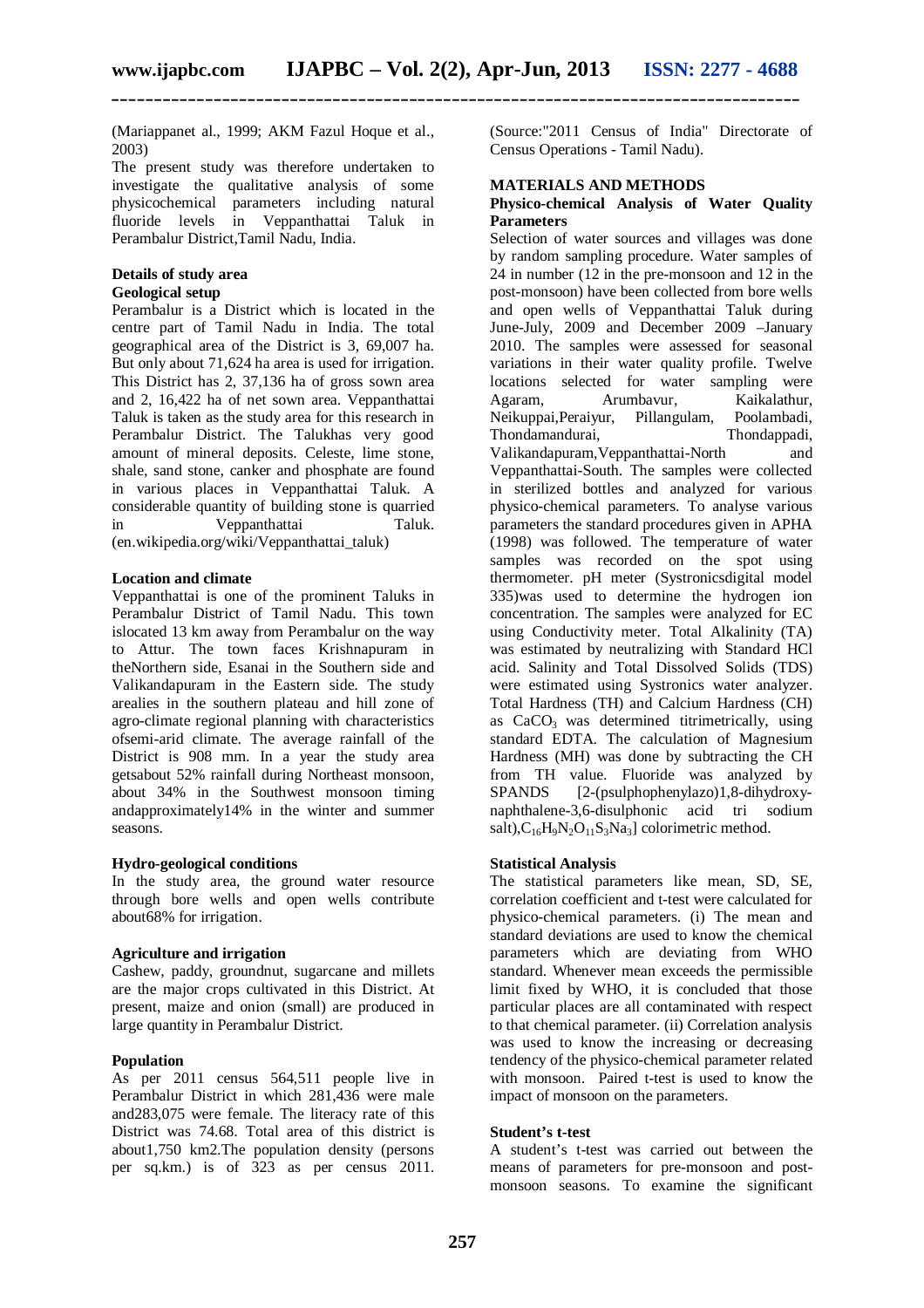(Mariappanet al., 1999; AKM Fazul Hoque et al., 2003)

The present study was therefore undertaken to investigate the qualitative analysis of some physicochemical parameters including natural fluoride levels in Veppanthattai Taluk in Perambalur District,Tamil Nadu, India.

#### **Details of study area**

#### **Geological setup**

Perambalur is a District which is located in the centre part of Tamil Nadu in India. The total geographical area of the District is 3, 69,007 ha. But only about 71,624 ha area is used for irrigation. This District has 2, 37,136 ha of gross sown area and 2, 16,422 ha of net sown area. Veppanthattai Taluk is taken as the study area for this research in Perambalur District. The Talukhas very good amount of mineral deposits. Celeste, lime stone, shale, sand stone, canker and phosphate are found in various places in Veppanthattai Taluk. A considerable quantity of building stone is quarried in Veppanthattai Taluk. (en.wikipedia.org/wiki/Veppanthattai\_taluk)

#### **Location and climate**

Veppanthattai is one of the prominent Taluks in Perambalur District of Tamil Nadu. This town islocated 13 km away from Perambalur on the way to Attur. The town faces Krishnapuram in theNorthern side, Esanai in the Southern side and Valikandapuram in the Eastern side. The study arealies in the southern plateau and hill zone of agro-climate regional planning with characteristics ofsemi-arid climate. The average rainfall of the District is 908 mm. In a year the study area getsabout 52% rainfall during Northeast monsoon, about 34% in the Southwest monsoon timing andapproximately14% in the winter and summer seasons.

#### **Hydro-geological conditions**

In the study area, the ground water resource through bore wells and open wells contribute about68% for irrigation.

#### **Agriculture and irrigation**

Cashew, paddy, groundnut, sugarcane and millets are the major crops cultivated in this District. At present, maize and onion (small) are produced in large quantity in Perambalur District.

#### **Population**

As per 2011 census 564,511 people live in Perambalur District in which 281,436 were male and283,075 were female. The literacy rate of this District was 74.68. Total area of this district is about1,750 km2.The population density (persons per sq.km.) is of 323 as per census 2011.

(Source:"2011 Census of India" Directorate of Census Operations - Tamil Nadu).

#### **MATERIALS AND METHODS**

#### **Physico-chemical Analysis of Water Quality Parameters**

Selection of water sources and villages was done by random sampling procedure. Water samples of 24 in number (12 in the pre-monsoon and 12 in the post-monsoon) have been collected from bore wells and open wells of Veppanthattai Taluk during June-July, 2009 and December 2009 –January 2010. The samples were assessed for seasonal variations in their water quality profile. Twelve locations selected for water sampling were<br>Agaram, Arumbavur, Kaikalathur, Agaram, Arumbavur, Neikuppai,Peraiyur, Pillangulam, Poolambadi, Thondamandurai, Thondappadi, Valikandapuram,Veppanthattai-North and Veppanthattai-South. The samples were collected in sterilized bottles and analyzed for various physico-chemical parameters. To analyse various parameters the standard procedures given in APHA (1998) was followed. The temperature of water samples was recorded on the spot using thermometer. pH meter (Systronicsdigital model 335)was used to determine the hydrogen ion concentration. The samples were analyzed for EC using Conductivity meter. Total Alkalinity (TA) was estimated by neutralizing with Standard HCl acid. Salinity and Total Dissolved Solids (TDS) were estimated using Systronics water analyzer. Total Hardness (TH) and Calcium Hardness (CH) as  $CaCO<sub>3</sub>$  was determined titrimetrically, using standard EDTA. The calculation of Magnesium Hardness (MH) was done by subtracting the CH from TH value. Fluoride was analyzed by SPANDS [2-(psulphophenylazo)1,8-dihydroxynaphthalene-3,6-disulphonic acid tri sodium salt), $C_{16}H_9N_2O_{11}S_3Na_3$ ] colorimetric method.

#### **Statistical Analysis**

The statistical parameters like mean, SD, SE, correlation coefficient and t-test were calculated for physico-chemical parameters. (i) The mean and standard deviations are used to know the chemical parameters which are deviating from WHO standard. Whenever mean exceeds the permissible limit fixed by WHO, it is concluded that those particular places are all contaminated with respect to that chemical parameter. (ii) Correlation analysis was used to know the increasing or decreasing tendency of the physico-chemical parameter related with monsoon. Paired t-test is used to know the impact of monsoon on the parameters.

#### **Student's t-test**

A student's t-test was carried out between the means of parameters for pre-monsoon and postmonsoon seasons. To examine the significant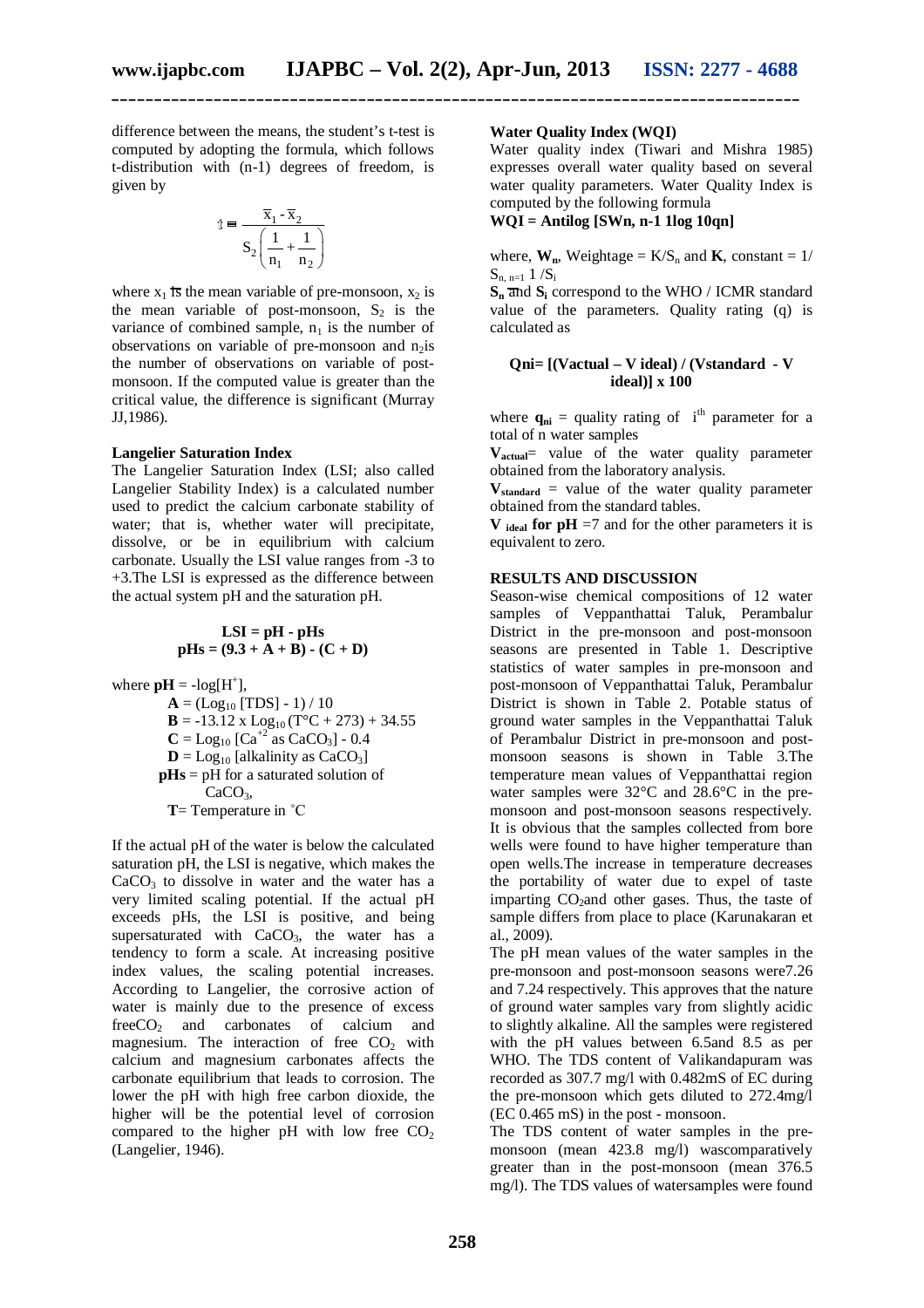**\_\_\_\_\_\_\_\_\_\_\_\_\_\_\_\_\_\_\_\_\_\_\_\_\_\_\_\_\_\_\_\_\_\_\_\_\_\_\_\_\_\_\_\_\_\_\_\_\_\_\_\_\_\_\_\_\_\_\_\_\_\_\_\_\_\_\_\_\_\_\_\_\_\_\_\_\_\_\_\_\_**

difference between the means, the student's t-test is computed by adopting the formula, which follows t-distribution with (n-1) degrees of freedom, is given by

$$
\mathbf{t} = \frac{\overline{\mathbf{x}}_1 - \overline{\mathbf{x}}_2}{\mathbf{S}_2 \left( \frac{1}{\mathbf{n}_1} + \frac{1}{\mathbf{n}_2} \right)}
$$

where  $x_1$  is the mean variable of pre-monsoon,  $x_2$  is the mean variable of post-monsoon,  $S_2$  is the variance of combined sample,  $n_1$  is the number of observations on variable of pre-monsoon and  $n_2$ is the number of observations on variable of postmonsoon. If the computed value is greater than the critical value, the difference is significant (Murray JJ,1986).

#### **Langelier Saturation Index**

The Langelier Saturation Index (LSI; also called Langelier Stability Index) is a calculated number used to predict the calcium carbonate stability of water; that is, whether water will precipitate, dissolve, or be in equilibrium with calcium carbonate. Usually the LSI value ranges from -3 to +3.The LSI is expressed as the difference between the actual system pH and the saturation pH.

$$
LSI = pH - pHs
$$
  

$$
pHs = (9.3 + A + B) \cdot (C + D)
$$

where  $\mathbf{p} \mathbf{H} = -\log[\mathbf{H}^+]$ ,

 $A = (Log_{10} [TDS] - 1) / 10$  $\mathbf{B} = -13.12 \times \text{Log}_{10} (T^{\circ}C + 273) + 34.55$  $C = Log_{10} [Ca^{+2} \text{ as } CaCO_3] - 0.4$  $D = Log_{10}$  [alkalinity as  $CaCO<sub>3</sub>$ ]  **pHs** = pH for a saturated solution of CaCO<sub>3</sub>, **T**= Temperature in ˚C

If the actual pH of the water is below the calculated saturation pH, the LSI is negative, which makes the  $CaCO<sub>3</sub>$  to dissolve in water and the water has a very limited scaling potential. If the actual pH exceeds pHs, the LSI is positive, and being supersaturated with  $CaCO<sub>3</sub>$ , the water has a tendency to form a scale. At increasing positive index values, the scaling potential increases. According to Langelier, the corrosive action of water is mainly due to the presence of excess freeCO<sub>2</sub> and carbonates of calcium and magnesium. The interaction of free  $CO<sub>2</sub>$  with calcium and magnesium carbonates affects the carbonate equilibrium that leads to corrosion. The lower the pH with high free carbon dioxide, the higher will be the potential level of corrosion compared to the higher pH with low free  $CO<sub>2</sub>$ (Langelier, 1946).

#### **Water Quality Index (WQI)**

Water quality index (Tiwari and Mishra 1985) expresses overall water quality based on several water quality parameters. Water Quality Index is computed by the following formula

**WQI = Antilog [SWn, n-1 1log 10qn]**

where,  $W_n$ , Weightage =  $K/S_n$  and  $K$ , constant = 1/  $S_{n, n=1} 1 / S_i$ 

 $S_n$  and  $S_i$  correspond to the WHO / ICMR standard value of the parameters. Quality rating (q) is calculated as

#### **Qni= [(Vactual – V ideal) / (Vstandard - V ideal)] x 100**

where  $\mathbf{q}_{ni}$  = quality rating of i<sup>th</sup> parameter for a total of n water samples

**V**<sub>actual</sub>= value of the water quality parameter obtained from the laboratory analysis.

 $V_{standard}$  = value of the water quality parameter obtained from the standard tables.

**V ideal** for  $pH = 7$  and for the other parameters it is equivalent to zero.

#### **RESULTS AND DISCUSSION**

Season-wise chemical compositions of 12 water samples of Veppanthattai Taluk, Perambalur District in the pre-monsoon and post-monsoon seasons are presented in Table 1. Descriptive statistics of water samples in pre-monsoon and post-monsoon of Veppanthattai Taluk, Perambalur District is shown in Table 2. Potable status of ground water samples in the Veppanthattai Taluk of Perambalur District in pre-monsoon and postmonsoon seasons is shown in Table 3.The temperature mean values of Veppanthattai region water samples were 32°C and 28.6°C in the premonsoon and post-monsoon seasons respectively. It is obvious that the samples collected from bore wells were found to have higher temperature than open wells.The increase in temperature decreases the portability of water due to expel of taste imparting  $CO_2$ and other gases. Thus, the taste of sample differs from place to place (Karunakaran et al., 2009).

The pH mean values of the water samples in the pre-monsoon and post-monsoon seasons were7.26 and 7.24 respectively. This approves that the nature of ground water samples vary from slightly acidic to slightly alkaline. All the samples were registered with the pH values between 6.5and 8.5 as per WHO. The TDS content of Valikandapuram was recorded as 307.7 mg/l with 0.482mS of EC during the pre-monsoon which gets diluted to 272.4mg/l (EC 0.465 mS) in the post - monsoon.

The TDS content of water samples in the premonsoon (mean 423.8 mg/l) wascomparatively greater than in the post-monsoon (mean 376.5 mg/l). The TDS values of watersamples were found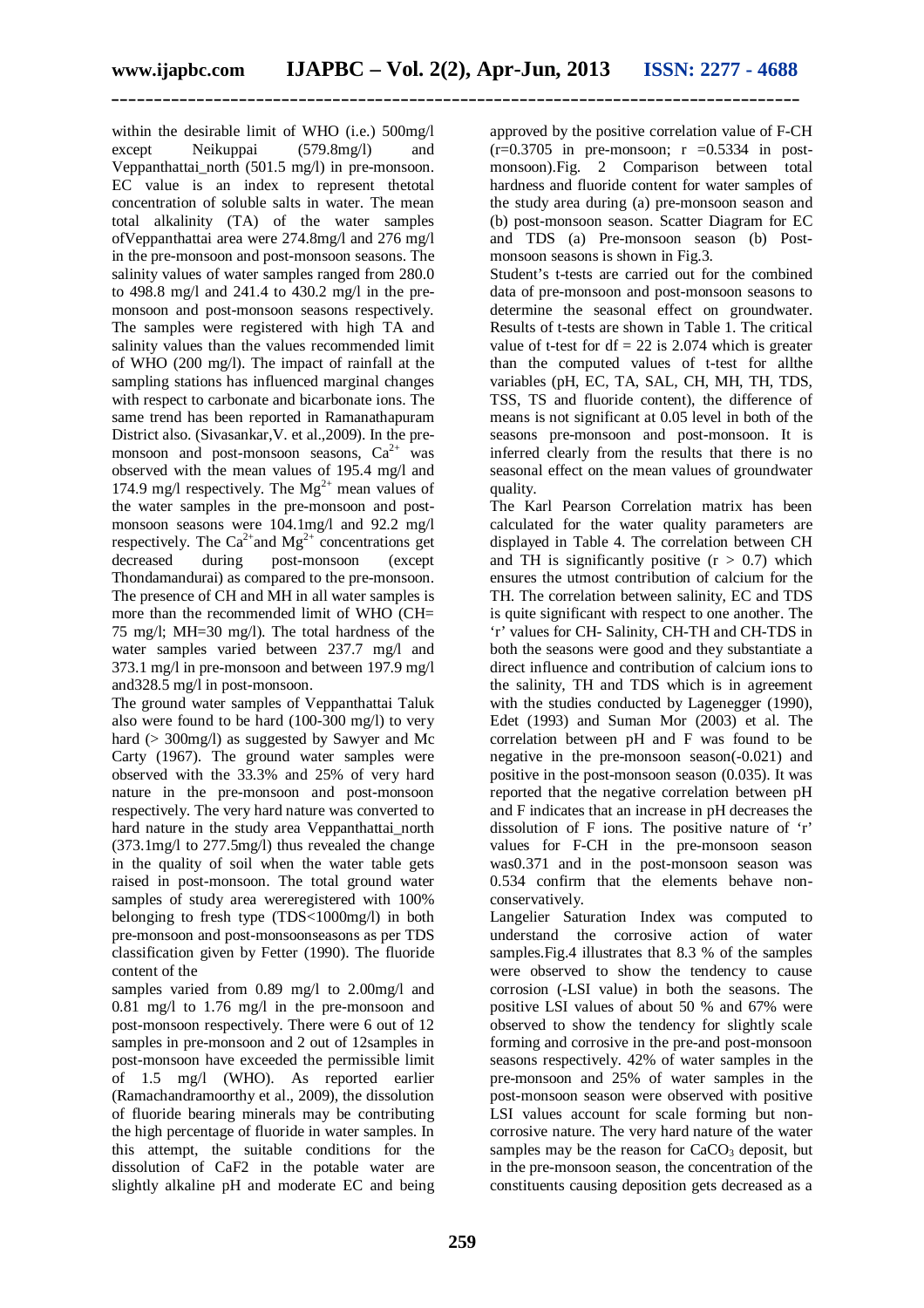within the desirable limit of WHO (i.e.) 500mg/l except Neikuppai (579.8mg/l) and Veppanthattai\_north (501.5 mg/l) in pre-monsoon. EC value is an index to represent thetotal concentration of soluble salts in water. The mean total alkalinity (TA) of the water samples ofVeppanthattai area were 274.8mg/l and 276 mg/l in the pre-monsoon and post-monsoon seasons. The salinity values of water samples ranged from 280.0 to 498.8 mg/l and 241.4 to 430.2 mg/l in the premonsoon and post-monsoon seasons respectively. The samples were registered with high TA and salinity values than the values recommended limit of WHO (200 mg/l). The impact of rainfall at the sampling stations has influenced marginal changes with respect to carbonate and bicarbonate ions. The same trend has been reported in Ramanathapuram District also. (Sivasankar,V. et al.,2009). In the premonsoon and post-monsoon seasons,  $Ca^{2+}$  was observed with the mean values of 195.4 mg/l and 174.9 mg/l respectively. The  $Mg^{2+}$  mean values of the water samples in the pre-monsoon and postmonsoon seasons were 104.1mg/l and 92.2 mg/l respectively. The Ca<sup>2+</sup>and Mg<sup>2+</sup> concentrations get<br>decreased during post-monsoon (excent during post-monsoon (except Thondamandurai) as compared to the pre-monsoon. The presence of CH and MH in all water samples is more than the recommended limit of WHO (CH= 75 mg/l; MH=30 mg/l). The total hardness of the water samples varied between 237.7 mg/l and 373.1 mg/l in pre-monsoon and between 197.9 mg/l and328.5 mg/l in post-monsoon.

The ground water samples of Veppanthattai Taluk also were found to be hard (100-300 mg/l) to very hard (> 300mg/l) as suggested by Sawyer and Mc Carty (1967). The ground water samples were observed with the 33.3% and 25% of very hard nature in the pre-monsoon and post-monsoon respectively. The very hard nature was converted to hard nature in the study area Veppanthattai north (373.1mg/l to 277.5mg/l) thus revealed the change in the quality of soil when the water table gets raised in post-monsoon. The total ground water samples of study area wereregistered with 100% belonging to fresh type (TDS<1000mg/l) in both pre-monsoon and post-monsoonseasons as per TDS classification given by Fetter (1990). The fluoride content of the

samples varied from 0.89 mg/l to 2.00mg/l and 0.81 mg/l to 1.76 mg/l in the pre-monsoon and post-monsoon respectively. There were 6 out of 12 samples in pre-monsoon and 2 out of 12samples in post-monsoon have exceeded the permissible limit of 1.5 mg/l (WHO). As reported earlier (Ramachandramoorthy et al., 2009), the dissolution of fluoride bearing minerals may be contributing the high percentage of fluoride in water samples. In this attempt, the suitable conditions for the dissolution of CaF2 in the potable water are slightly alkaline pH and moderate EC and being

approved by the positive correlation value of F-CH  $(r=0.3705$  in pre-monsoon;  $r = 0.5334$  in postmonsoon).Fig. 2 Comparison between total hardness and fluoride content for water samples of the study area during (a) pre-monsoon season and (b) post-monsoon season. Scatter Diagram for EC and TDS (a) Pre-monsoon season (b) Postmonsoon seasons is shown in Fig.3.

Student's t-tests are carried out for the combined data of pre-monsoon and post-monsoon seasons to determine the seasonal effect on groundwater. Results of t-tests are shown in Table 1. The critical value of t-test for  $df = 22$  is 2.074 which is greater than the computed values of t-test for allthe variables (pH, EC, TA, SAL, CH, MH, TH, TDS, TSS, TS and fluoride content), the difference of means is not significant at 0.05 level in both of the seasons pre-monsoon and post-monsoon. It is inferred clearly from the results that there is no seasonal effect on the mean values of groundwater quality.

The Karl Pearson Correlation matrix has been calculated for the water quality parameters are displayed in Table 4. The correlation between CH and TH is significantly positive  $(r > 0.7)$  which ensures the utmost contribution of calcium for the TH. The correlation between salinity, EC and TDS is quite significant with respect to one another. The 'r' values for CH- Salinity, CH-TH and CH-TDS in both the seasons were good and they substantiate a direct influence and contribution of calcium ions to the salinity, TH and TDS which is in agreement with the studies conducted by Lagenegger (1990), Edet (1993) and Suman Mor (2003) et al. The correlation between pH and F was found to be negative in the pre-monsoon season(-0.021) and positive in the post-monsoon season (0.035). It was reported that the negative correlation between pH and F indicates that an increase in pH decreases the dissolution of F ions. The positive nature of 'r' values for F-CH in the pre-monsoon season was0.371 and in the post-monsoon season was 0.534 confirm that the elements behave nonconservatively.

Langelier Saturation Index was computed to understand the corrosive action of water samples.Fig.4 illustrates that 8.3 % of the samples were observed to show the tendency to cause corrosion (-LSI value) in both the seasons. The positive LSI values of about 50 % and 67% were observed to show the tendency for slightly scale forming and corrosive in the pre-and post-monsoon seasons respectively. 42% of water samples in the pre-monsoon and 25% of water samples in the post-monsoon season were observed with positive LSI values account for scale forming but noncorrosive nature. The very hard nature of the water samples may be the reason for  $CaCO<sub>3</sub>$  deposit, but in the pre-monsoon season, the concentration of the constituents causing deposition gets decreased as a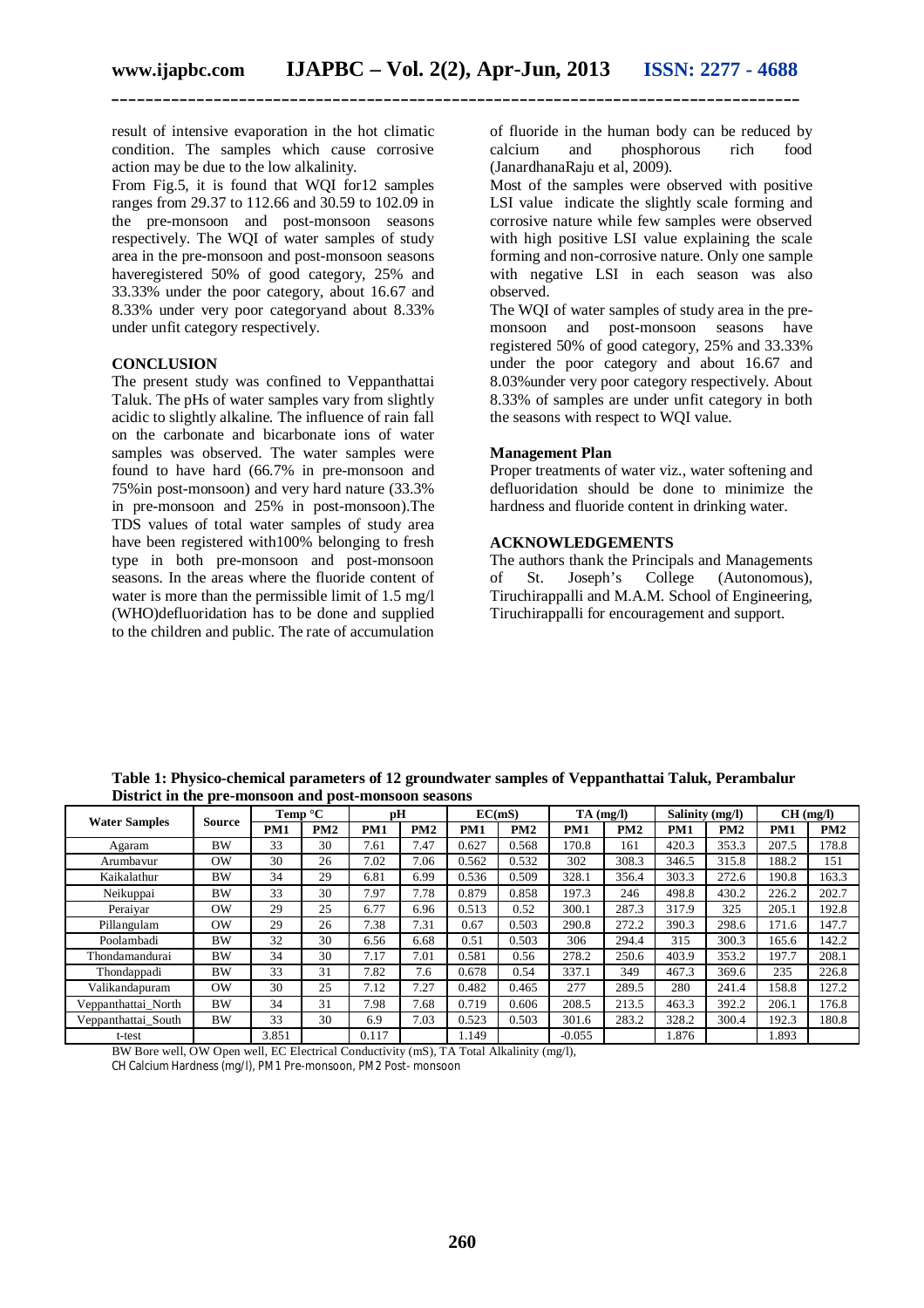result of intensive evaporation in the hot climatic condition. The samples which cause corrosive action may be due to the low alkalinity.

From Fig.5, it is found that WQI for12 samples ranges from 29.37 to 112.66 and 30.59 to 102.09 in the pre-monsoon and post-monsoon seasons respectively. The WQI of water samples of study area in the pre-monsoon and post-monsoon seasons haveregistered 50% of good category, 25% and 33.33% under the poor category, about 16.67 and 8.33% under very poor categoryand about 8.33% under unfit category respectively.

#### **CONCLUSION**

The present study was confined to Veppanthattai Taluk. The pHs of water samples vary from slightly acidic to slightly alkaline. The influence of rain fall on the carbonate and bicarbonate ions of water samples was observed. The water samples were found to have hard (66.7% in pre-monsoon and 75%in post-monsoon) and very hard nature (33.3% in pre-monsoon and 25% in post-monsoon).The TDS values of total water samples of study area have been registered with100% belonging to fresh type in both pre-monsoon and post-monsoon seasons. In the areas where the fluoride content of water is more than the permissible limit of 1.5 mg/l (WHO)defluoridation has to be done and supplied to the children and public. The rate of accumulation of fluoride in the human body can be reduced by calcium and phosphorous rich food (JanardhanaRaju et al, 2009).

Most of the samples were observed with positive LSI value indicate the slightly scale forming and corrosive nature while few samples were observed with high positive LSI value explaining the scale forming and non-corrosive nature. Only one sample with negative LSI in each season was also observed.

The WQI of water samples of study area in the premonsoon and post-monsoon seasons have registered 50% of good category, 25% and 33.33% under the poor category and about 16.67 and 8.03%under very poor category respectively. About 8.33% of samples are under unfit category in both the seasons with respect to WQI value.

#### **Management Plan**

Proper treatments of water viz., water softening and defluoridation should be done to minimize the hardness and fluoride content in drinking water.

#### **ACKNOWLEDGEMENTS**

The authors thank the Principals and Managements of St. Joseph's College (Autonomous), Tiruchirappalli and M.A.M. School of Engineering, Tiruchirappalli for encouragement and support.

|                      | District in the pre-monsoon and post-monsoon seasons |                   |     |       |      |        |       |             |       |                 |       |          |       |
|----------------------|------------------------------------------------------|-------------------|-----|-------|------|--------|-------|-------------|-------|-----------------|-------|----------|-------|
| <b>Water Samples</b> |                                                      | Temp $\mathrm{C}$ |     | рH    |      | EC(mS) |       | $TA$ (mg/l) |       | Salinity (mg/l) |       | CH(mg/l) |       |
|                      | Source                                               | PM1               | PM2 | PM1   | PM2  | PM1    | PM2   | PM1         | PM2   | PM1             | PM2   | PM1      | PM2   |
| Agaram               | <b>BW</b>                                            | 33                | 30  | 7.61  | 7.47 | 0.627  | 0.568 | 170.8       | 161   | 420.3           | 353.3 | 207.5    | 178.8 |
| Arumbayur            | <b>OW</b>                                            | 30                | 26  | 7.02  | 7.06 | 0.562  | 0.532 | 302         | 308.3 | 346.5           | 315.8 | 188.2    | 151   |
| Kaikalathur          | <b>BW</b>                                            | 34                | 29  | 6.81  | 6.99 | 0.536  | 0.509 | 328.1       | 356.4 | 303.3           | 272.6 | 190.8    | 163.3 |
| Neikuppai            | <b>BW</b>                                            | 33                | 30  | 7.97  | 7.78 | 0.879  | 0.858 | 197.3       | 246   | 498.8           | 430.2 | 226.2    | 202.7 |
| Peraiyar             | OW                                                   | 29                | 25  | 6.77  | 6.96 | 0.513  | 0.52  | 300.1       | 287.3 | 317.9           | 325   | 205.1    | 192.8 |
| Pillangulam          | OW                                                   | 29                | 26  | 7.38  | 7.31 | 0.67   | 0.503 | 290.8       | 272.2 | 390.3           | 298.6 | 171.6    | 147.7 |
| Poolambadi           | <b>BW</b>                                            | 32                | 30  | 6.56  | 6.68 | 0.51   | 0.503 | 306         | 294.4 | 315             | 300.3 | 165.6    | 142.2 |
| Thondamandurai       | <b>BW</b>                                            | 34                | 30  | 7.17  | 7.01 | 0.581  | 0.56  | 278.2       | 250.6 | 403.9           | 353.2 | 197.7    | 208.1 |
| Thondappadi          | <b>BW</b>                                            | 33                | 31  | 7.82  | 7.6  | 0.678  | 0.54  | 337.1       | 349   | 467.3           | 369.6 | 235      | 226.8 |
| Valikandapuram       | OW                                                   | 30                | 25  | 7.12  | 7.27 | 0.482  | 0.465 | 277         | 289.5 | 280             | 241.4 | 158.8    | 127.2 |
| Veppanthattai_North  | <b>BW</b>                                            | 34                | 31  | 7.98  | 7.68 | 0.719  | 0.606 | 208.5       | 213.5 | 463.3           | 392.2 | 206.1    | 176.8 |
| Veppanthattai_South  | <b>BW</b>                                            | 33                | 30  | 6.9   | 7.03 | 0.523  | 0.503 | 301.6       | 283.2 | 328.2           | 300.4 | 192.3    | 180.8 |
| t-test               |                                                      | 3.851             |     | 0.117 |      | 1.149  |       | $-0.055$    |       | 1.876           |       | 1.893    |       |

**Table 1: Physico-chemical parameters of 12 groundwater samples of Veppanthattai Taluk, Perambalur District in the pre-monsoon and post-monsoon seasons**

BW Bore well, OW Open well, EC Electrical Conductivity (mS), TA Total Alkalinity (mg/l), CH Calcium Hardness (mg/l), PM1 Pre-monsoon, PM2 Post- monsoon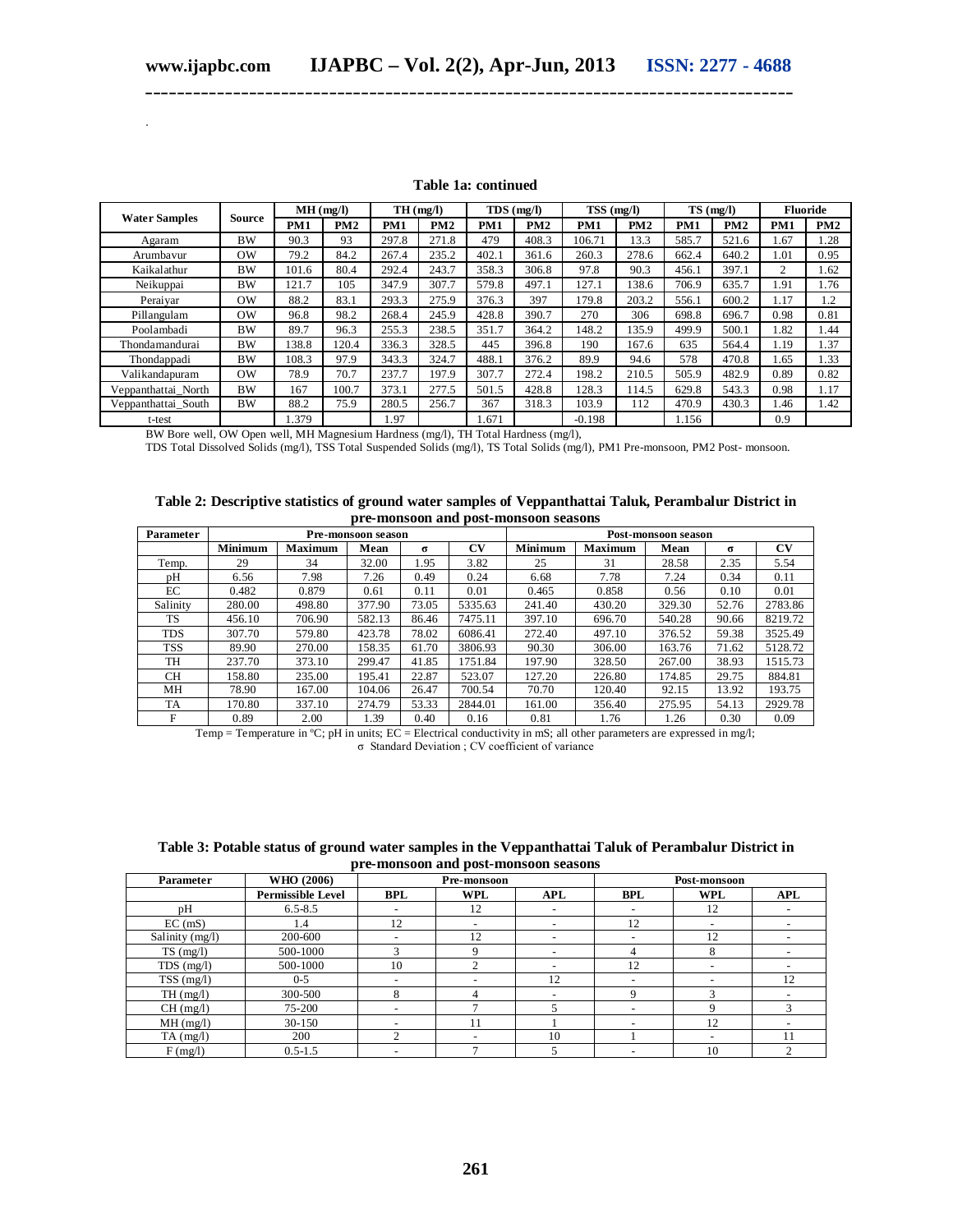.

| <b>Water Samples</b> |           | MH(mg/l)   |       | TH(mg/l) |       | $TDS$ (mg/l) |       | $TSS$ (mg/l) |                 | $TS$ (mg/l)     |       | <b>Fluoride</b> |      |
|----------------------|-----------|------------|-------|----------|-------|--------------|-------|--------------|-----------------|-----------------|-------|-----------------|------|
|                      | Source    | <b>PM1</b> | PM2   | PM1      | PM2   | PM1          | PM2   | PM1          | PM <sub>2</sub> | PM <sub>1</sub> | PM2   | PM1             | PM2  |
| Agaram               | <b>BW</b> | 90.3       | 93    | 297.8    | 271.8 | 479          | 408.3 | 106.71       | 13.3            | 585.7           | 521.6 | 1.67            | 1.28 |
| Arumbayur            | $\alpha$  | 79.2       | 84.2  | 267.4    | 235.2 | 402.1        | 361.6 | 260.3        | 278.6           | 662.4           | 640.2 | 1.01            | 0.95 |
| Kaikalathur          | <b>BW</b> | 101.6      | 80.4  | 292.4    | 243.7 | 358.3        | 306.8 | 97.8         | 90.3            | 456.1           | 397.1 | 2               | 1.62 |
| Neikuppai            | <b>BW</b> | 121.7      | 105   | 347.9    | 307.7 | 579.8        | 497.1 | 127.1        | 138.6           | 706.9           | 635.7 | 1.91            | 1.76 |
| Peraiyar             | $\alpha$  | 88.2       | 83.1  | 293.3    | 275.9 | 376.3        | 397   | 79.8         | 203.2           | 556.1           | 600.2 | 1.17            | 1.2  |
| Pillangulam          | $\alpha$  | 96.8       | 98.2  | 268.4    | 245.9 | 428.8        | 390.7 | 270          | 306             | 698.8           | 696.7 | 0.98            | 0.81 |
| Poolambadi           | <b>BW</b> | 89.7       | 96.3  | 255.3    | 238.5 | 351.7        | 364.2 | 148.2        | 135.9           | 499.9           | 500.1 | 1.82            | 1.44 |
| Thondamandurai       | <b>BW</b> | 138.8      | 120.4 | 336.3    | 328.5 | 445          | 396.8 | 190          | 167.6           | 635             | 564.4 | 1.19            | 1.37 |
| Thondappadi          | <b>BW</b> | 108.3      | 97.9  | 343.3    | 324.7 | 488.1        | 376.2 | 89.9         | 94.6            | 578             | 470.8 | 1.65            | 1.33 |
| Valikandapuram       | <b>OW</b> | 78.9       | 70.7  | 237.7    | 197.9 | 307.7        | 272.4 | 198.2        | 210.5           | 505.9           | 482.9 | 0.89            | 0.82 |
| Veppanthattai North  | <b>BW</b> | 167        | 100.7 | 373.1    | 277.5 | 501.5        | 428.8 | 128.3        | 114.5           | 629.8           | 543.3 | 0.98            | 1.17 |
| Veppanthattai South  | <b>BW</b> | 88.2       | 75.9  | 280.5    | 256.7 | 367          | 318.3 | 103.9        | 112             | 470.9           | 430.3 | 1.46            | 1.42 |
| t-test               |           | 1.379      |       | .97      |       | 1.671        |       | $-0.198$     |                 | 1.156           |       | 0.9             |      |

#### **Table 1a: continued**

**\_\_\_\_\_\_\_\_\_\_\_\_\_\_\_\_\_\_\_\_\_\_\_\_\_\_\_\_\_\_\_\_\_\_\_\_\_\_\_\_\_\_\_\_\_\_\_\_\_\_\_\_\_\_\_\_\_\_\_\_\_\_\_\_\_\_\_\_\_\_\_\_\_\_\_\_\_\_\_\_\_**

BW Bore well, OW Open well, MH Magnesium Hardness (mg/l), TH Total Hardness (mg/l),

TDS Total Dissolved Solids (mg/l), TSS Total Suspended Solids (mg/l), TS Total Solids (mg/l), PM1 Pre-monsoon, PM2 Post- monsoon.

| Table 2: Descriptive statistics of ground water samples of Veppanthattai Taluk, Perambalur District in |  |  |
|--------------------------------------------------------------------------------------------------------|--|--|
| pre-monsoon and post-monsoon seasons                                                                   |  |  |

| Parameter  |                |                | Pre-monsoon season |          |           | Post-monsoon season |                |        |          |         |  |
|------------|----------------|----------------|--------------------|----------|-----------|---------------------|----------------|--------|----------|---------|--|
|            | <b>Minimum</b> | <b>Maximum</b> | Mean               | $\sigma$ | <b>CV</b> | <b>Minimum</b>      | <b>Maximum</b> | Mean   | $\sigma$ | CV      |  |
| Temp.      | 29             | 34             | 32.00              | 1.95     | 3.82      | 25                  | 31             | 28.58  | 2.35     | 5.54    |  |
| рH         | 6.56           | 7.98           | 7.26               | 0.49     | 0.24      | 6.68                | 7.78           | 7.24   | 0.34     | 0.11    |  |
| EC         | 0.482          | 0.879          | 0.61               | 0.11     | 0.01      | 0.465               | 0.858          | 0.56   | 0.10     | 0.01    |  |
| Salinity   | 280.00         | 498.80         | 377.90             | 73.05    | 5335.63   | 241.40              | 430.20         | 329.30 | 52.76    | 2783.86 |  |
| <b>TS</b>  | 456.10         | 706.90         | 582.13             | 86.46    | 7475.11   | 397.10              | 696.70         | 540.28 | 90.66    | 8219.72 |  |
| <b>TDS</b> | 307.70         | 579.80         | 423.78             | 78.02    | 6086.41   | 272.40              | 497.10         | 376.52 | 59.38    | 3525.49 |  |
| <b>TSS</b> | 89.90          | 270.00         | 158.35             | 61.70    | 3806.93   | 90.30               | 306.00         | 163.76 | 71.62    | 5128.72 |  |
| TH         | 237.70         | 373.10         | 299.47             | 41.85    | 1751.84   | 197.90              | 328.50         | 267.00 | 38.93    | 1515.73 |  |
| CH.        | 158.80         | 235.00         | 195.41             | 22.87    | 523.07    | 127.20              | 226.80         | 174.85 | 29.75    | 884.81  |  |
| MН         | 78.90          | 167.00         | 104.06             | 26.47    | 700.54    | 70.70               | 120.40         | 92.15  | 13.92    | 193.75  |  |
| TA         | 170.80         | 337.10         | 274.79             | 53.33    | 2844.01   | 161.00              | 356.40         | 275.95 | 54.13    | 2929.78 |  |
| F          | 0.89           | 2.00           | 1.39               | 0.40     | 0.16      | 0.81                | 1.76           | 1.26   | 0.30     | 0.09    |  |

Temp = Temperature in ºC; pH in units; EC = Electrical conductivity in mS; all other parameters are expressed in mg/l; σ Standard Deviation ; CV coefficient of variance

| Table 3: Potable status of ground water samples in the Veppanthattai Taluk of Perambalur District in |
|------------------------------------------------------------------------------------------------------|
| pre-monsoon and post-monsoon seasons                                                                 |

| Parameter       | WHO (2006)               |                          | Pre-monsoon              |            | Post-monsoon             |                          |            |  |  |
|-----------------|--------------------------|--------------------------|--------------------------|------------|--------------------------|--------------------------|------------|--|--|
|                 | <b>Permissible Level</b> | <b>BPL</b>               | <b>WPL</b>               | <b>APL</b> | <b>BPL</b>               | <b>WPL</b>               | <b>APL</b> |  |  |
| рH              | $6.5 - 8.5$              | -                        | 12                       |            | $\overline{\phantom{0}}$ | 12                       |            |  |  |
| $EC$ (mS)       | 1.4                      | 12                       | $\overline{\phantom{a}}$ |            | 12                       |                          |            |  |  |
| Salinity (mg/l) | 200-600                  | $\overline{\phantom{0}}$ | 12                       |            |                          | 12                       |            |  |  |
| $TS$ (mg/l)     | 500-1000                 |                          | Q                        |            | 4                        | 8                        |            |  |  |
| $TDS$ (mg/l)    | 500-1000                 | 10                       |                          |            | 12                       | $\overline{\phantom{a}}$ |            |  |  |
| $TSS$ (mg/l)    | $0 - 5$                  | $\overline{\phantom{a}}$ |                          | 12         | $\overline{\phantom{a}}$ |                          | 12         |  |  |
| TH(mg/l)        | 300-500                  | 8                        |                          |            | 9                        | 3                        |            |  |  |
| CH(mg/l)        | 75-200                   | $\overline{\phantom{a}}$ |                          |            | $\overline{\phantom{a}}$ | Q                        |            |  |  |
| MH(mg/l)        | $30 - 150$               |                          | 11                       |            | $\overline{\phantom{0}}$ | 12                       |            |  |  |
| $TA$ (mg/l)     | 200                      | $\mathcal{L}$            |                          | 10         |                          |                          |            |  |  |
| F(mg/l)         | $0.5 - 1.5$              |                          |                          |            |                          | 10                       |            |  |  |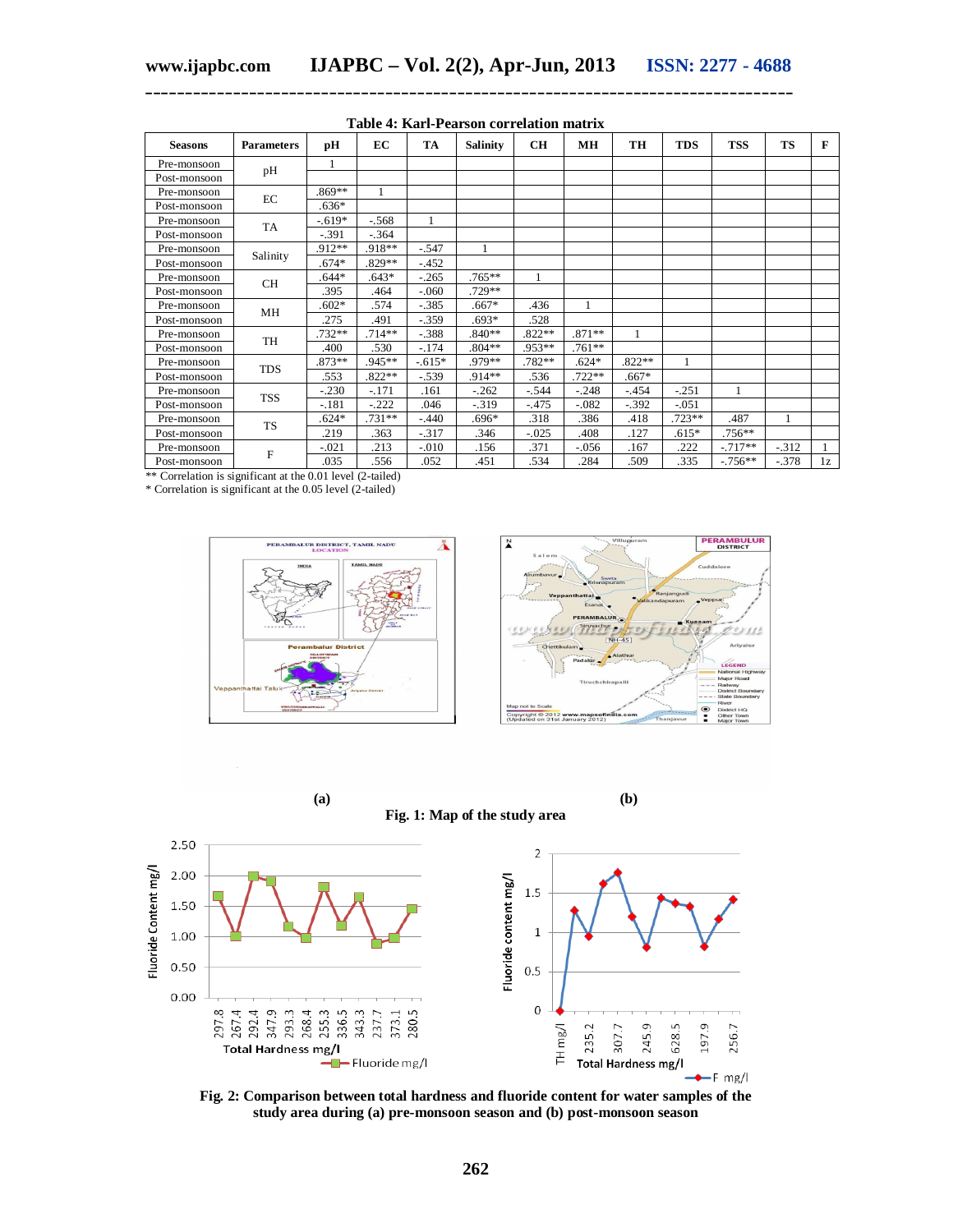| <b>Seasons</b> | <b>Parameters</b> | рH       | EC       | TA       | <b>Salinity</b> | <b>CH</b> | <b>MH</b> | TH       | <b>TDS</b> | <b>TSS</b> | <b>TS</b> | F  |
|----------------|-------------------|----------|----------|----------|-----------------|-----------|-----------|----------|------------|------------|-----------|----|
| Pre-monsoon    |                   | 1        |          |          |                 |           |           |          |            |            |           |    |
| Post-monsoon   | pH                |          |          |          |                 |           |           |          |            |            |           |    |
| Pre-monsoon    |                   | $.869**$ |          |          |                 |           |           |          |            |            |           |    |
| Post-monsoon   | $\rm EC$          | $.636*$  |          |          |                 |           |           |          |            |            |           |    |
| Pre-monsoon    |                   | $-.619*$ | $-.568$  | 1        |                 |           |           |          |            |            |           |    |
| Post-monsoon   | TA                | $-.391$  | $-.364$  |          |                 |           |           |          |            |            |           |    |
| Pre-monsoon    |                   | .912**   | .918**   | $-.547$  |                 |           |           |          |            |            |           |    |
| Post-monsoon   | Salinity          | $.674*$  | .829**   | $-.452$  |                 |           |           |          |            |            |           |    |
| Pre-monsoon    | CH                | $.644*$  | $.643*$  | $-.265$  | .765**          | 1         |           |          |            |            |           |    |
| Post-monsoon   |                   | .395     | .464     | $-060$   | .729**          |           |           |          |            |            |           |    |
| Pre-monsoon    | MH                | $.602*$  | .574     | $-.385$  | $.667*$         | .436      | 1         |          |            |            |           |    |
| Post-monsoon   |                   | .275     | .491     | $-.359$  | $.693*$         | .528      |           |          |            |            |           |    |
| Pre-monsoon    | TH                | .732**   | $.714**$ | $-.388$  | $.840**$        | .822**    | $.871**$  | 1        |            |            |           |    |
| Post-monsoon   |                   | .400     | .530     | $-.174$  | $.804**$        | .953**    | $.761**$  |          |            |            |           |    |
| Pre-monsoon    | <b>TDS</b>        | .873**   | .945**   | $-.615*$ | .979**          | .782**    | $.624*$   | $.822**$ | 1          |            |           |    |
| Post-monsoon   |                   | .553     | $.822**$ | $-.539$  | .914**          | .536      | $.722**$  | $.667*$  |            |            |           |    |
| Pre-monsoon    | <b>TSS</b>        | $-.230$  | $-.171$  | .161     | $-.262$         | $-.544$   | $-.248$   | $-454$   | $-.251$    | 1          |           |    |
| Post-monsoon   |                   | $-.181$  | $-.222$  | .046     | $-.319$         | $-.475$   | $-.082$   | $-.392$  | $-.051$    |            |           |    |
| Pre-monsoon    | <b>TS</b>         | $.624*$  | $.731**$ | $-.440$  | .696*           | .318      | .386      | .418     | .723**     | .487       |           |    |
| Post-monsoon   |                   | .219     | .363     | $-.317$  | .346            | $-.025$   | .408      | .127     | $.615*$    | .756**     |           |    |
| Pre-monsoon    | F                 | $-.021$  | .213     | $-0.010$ | .156            | .371      | $-.056$   | .167     | .222       | $-.717**$  | $-.312$   |    |
| Post-monsoon   |                   | .035     | .556     | .052     | .451            | .534      | .284      | .509     | .335       | $-0.756**$ | $-.378$   | 1z |

#### **Table 4: Karl-Pearson correlation matrix**

**\_\_\_\_\_\_\_\_\_\_\_\_\_\_\_\_\_\_\_\_\_\_\_\_\_\_\_\_\_\_\_\_\_\_\_\_\_\_\_\_\_\_\_\_\_\_\_\_\_\_\_\_\_\_\_\_\_\_\_\_\_\_\_\_\_\_\_\_\_\_\_\_\_\_\_\_\_\_\_\_\_**

\*\* Correlation is significant at the 0.01 level (2-tailed)

\* Correlation is significant at the 0.05 level (2-tailed)





**(a) (b) Fig. 1: Map of the study area**



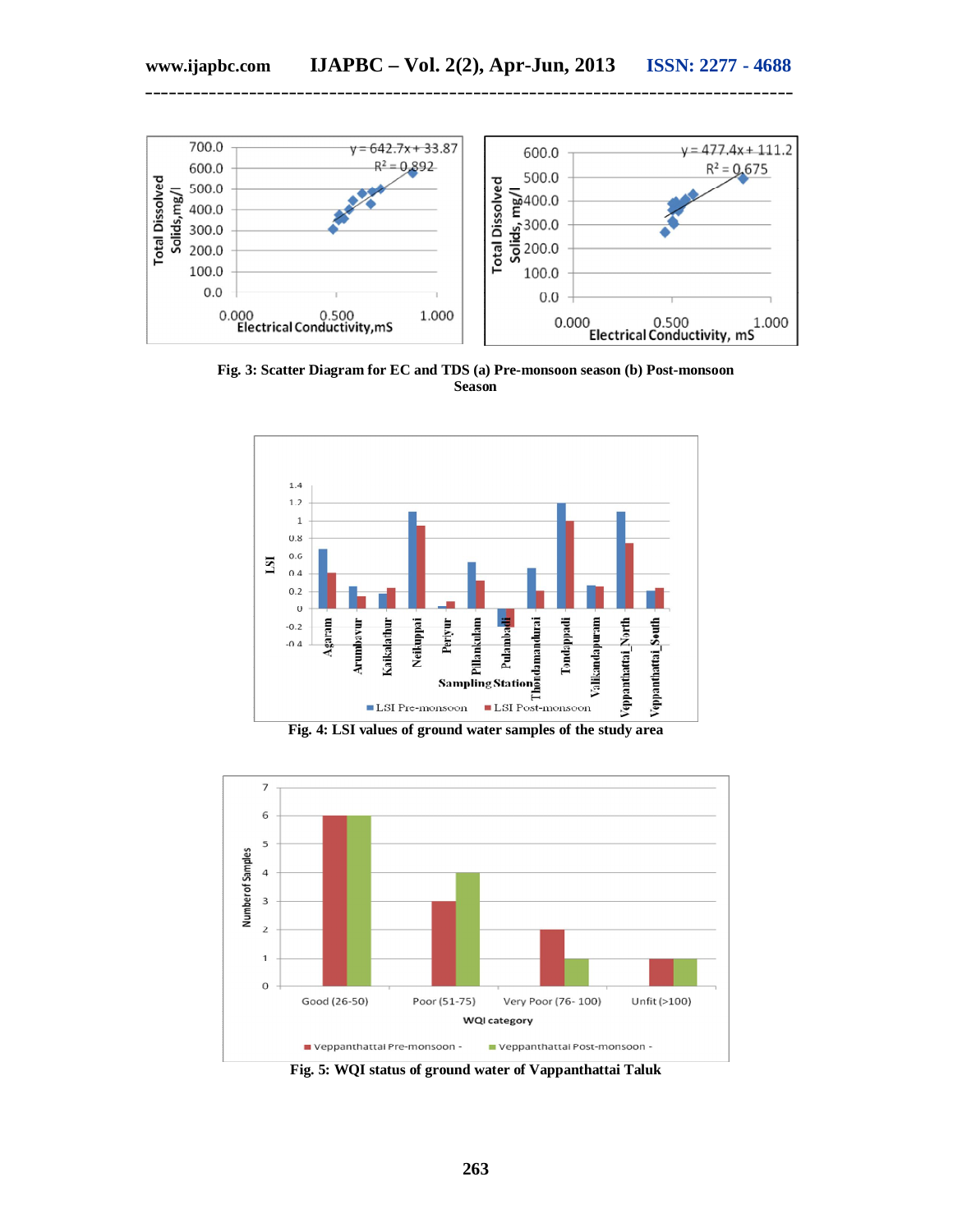

**Fig. 3: Scatter Diagram for EC and TDS (a) Pre-monsoon season (b) Post-monsoon Season**





**Fig. 5: WQI status of ground water of Vappanthattai Taluk**